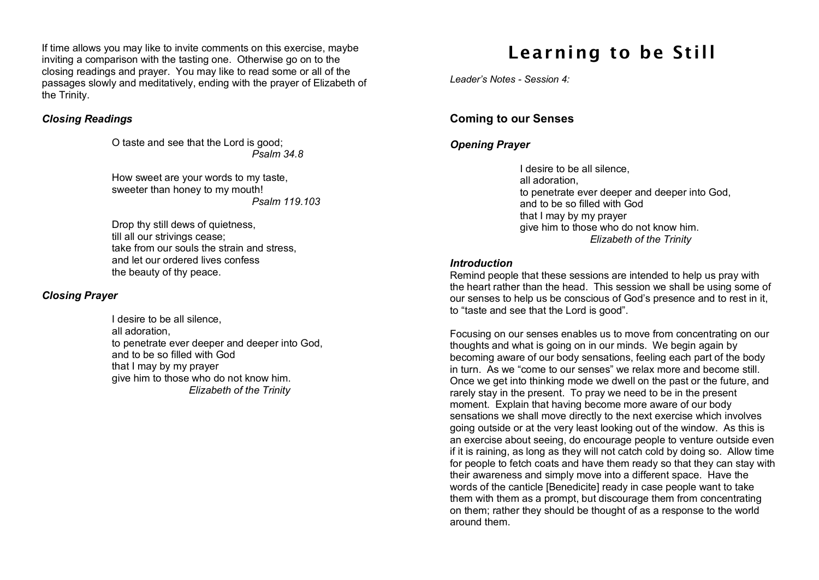If time allows you may like to invite comments on this exercise, maybe inviting a comparison with the tasting one. Otherwise go on to the closing readings and prayer. You may like to read some or all of the passages slowly and meditatively, ending with the prayer of Elizabeth of the Trinity.

# *Closing Readings*

O taste and see that the Lord is good; *Psalm 34.8*

How sweet are your words to my taste, sweeter than honey to my mouth! *Psalm 119.103*

Drop thy still dews of quietness, till all our strivings cease; take from our souls the strain and stress and let our ordered lives confess the beauty of thy peace.

## *Closing Prayer*

I desire to be all silence, all adoration, to penetrate ever deeper and deeper into God, and to be so filled with God that I may by my prayer give him to those who do not know him. *Elizabeth of the Trinity*

# Learning to be Still

*Leader's Notes - Session 4:*

# **Coming to our Senses**

## *Opening Prayer*

I desire to be all silence, all adoration, to penetrate ever deeper and deeper into God, and to be so filled with God that I may by my prayer give him to those who do not know him. *Elizabeth of the Trinity*

#### *Introduction*

Remind people that these sessions are intended to help us pray with the heart rather than the head. This session we shall be using some of our senses to help us be conscious of God's presence and to rest in it, to "taste and see that the Lord is good".

Focusing on our senses enables us to move from concentrating on our thoughts and what is going on in our minds. We begin again by becoming aware of our body sensations, feeling each part of the body in turn. As we "come to our senses" we relax more and become still. Once we get into thinking mode we dwell on the past or the future, and rarely stay in the present. To pray we need to be in the present moment. Explain that having become more aware of our body sensations we shall move directly to the next exercise which involves going outside or at the very least looking out of the window. As this is an exercise about seeing, do encourage people to venture outside even if it is raining, as long as they will not catch cold by doing so. Allow time for people to fetch coats and have them ready so that they can stay with their awareness and simply move into a different space. Have the words of the canticle [Benedicite] ready in case people want to take them with them as a prompt, but discourage them from concentrating on them; rather they should be thought of as a response to the world around them.